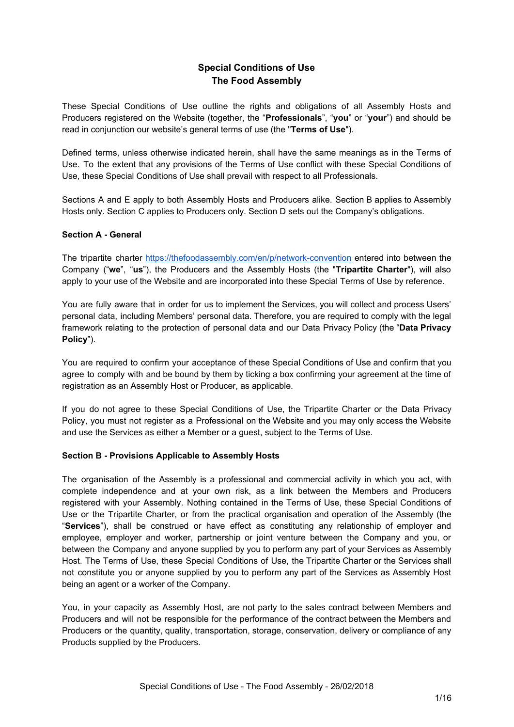# **Special Conditions of Use The Food Assembly**

These Special Conditions of Use outline the rights and obligations of all Assembly Hosts and Producers registered on the Website (together, the "**Professionals**", "**you**" or "**your**") and should be read in conjunction our website's general terms of use (the "**Terms of Use**").

Defined terms, unless otherwise indicated herein, shall have the same meanings as in the Terms of Use. To the extent that any provisions of the Terms of Use conflict with these Special Conditions of Use, these Special Conditions of Use shall prevail with respect to all Professionals.

Sections A and E apply to both Assembly Hosts and Producers alike. Section B applies to Assembly Hosts only. Section C applies to Producers only. Section D sets out the Company's obligations.

# **Section A - General**

The tripartite charter <https://thefoodassembly.com/en/p/network-convention> entered into between the Company ("**we**", "**us**"), the Producers and the Assembly Hosts (the "**Tripartite Charter**"), will also apply to your use of the Website and are incorporated into these Special Terms of Use by reference.

You are fully aware that in order for us to implement the Services, you will collect and process Users' personal data, including Members' personal data. Therefore, you are required to comply with the legal framework relating to the protection of personal data and our Data Privacy Policy (the "**Data Privacy Policy**").

You are required to confirm your acceptance of these Special Conditions of Use and confirm that you agree to comply with and be bound by them by ticking a box confirming your agreement at the time of registration as an Assembly Host or Producer, as applicable.

If you do not agree to these Special Conditions of Use, the Tripartite Charter or the Data Privacy Policy, you must not register as a Professional on the Website and you may only access the Website and use the Services as either a Member or a guest, subject to the Terms of Use.

## **Section B - Provisions Applicable to Assembly Hosts**

The organisation of the Assembly is a professional and commercial activity in which you act, with complete independence and at your own risk, as a link between the Members and Producers registered with your Assembly. Nothing contained in the Terms of Use, these Special Conditions of Use or the Tripartite Charter, or from the practical organisation and operation of the Assembly (the "**Services**"), shall be construed or have effect as constituting any relationship of employer and employee, employer and worker, partnership or joint venture between the Company and you, or between the Company and anyone supplied by you to perform any part of your Services as Assembly Host. The Terms of Use, these Special Conditions of Use, the Tripartite Charter or the Services shall not constitute you or anyone supplied by you to perform any part of the Services as Assembly Host being an agent or a worker of the Company.

You, in your capacity as Assembly Host, are not party to the sales contract between Members and Producers and will not be responsible for the performance of the contract between the Members and Producers or the quantity, quality, transportation, storage, conservation, delivery or compliance of any Products supplied by the Producers.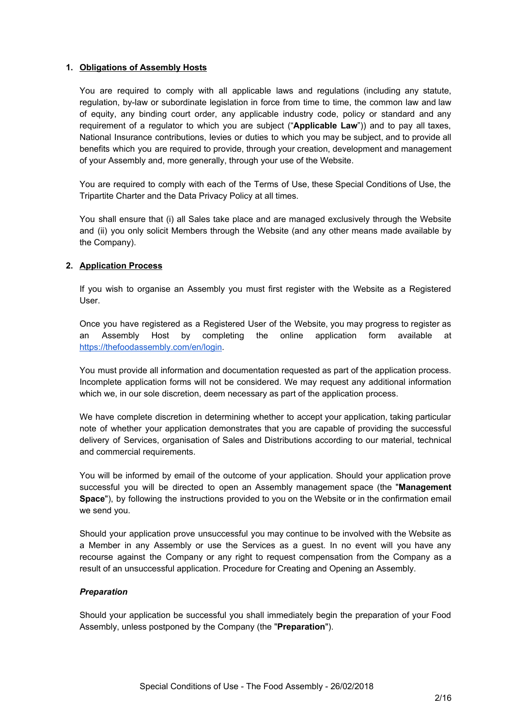# **1. Obligations of Assembly Hosts**

You are required to comply with all applicable laws and regulations (including any statute, regulation, by-law or subordinate legislation in force from time to time, the common law and law of equity, any binding court order, any applicable industry code, policy or standard and any requirement of a regulator to which you are subject ("**Applicable Law**")) and to pay all taxes, National Insurance contributions, levies or duties to which you may be subject, and to provide all benefits which you are required to provide, through your creation, development and management of your Assembly and, more generally, through your use of the Website.

You are required to comply with each of the Terms of Use, these Special Conditions of Use, the Tripartite Charter and the Data Privacy Policy at all times.

You shall ensure that (i) all Sales take place and are managed exclusively through the Website and (ii) you only solicit Members through the Website (and any other means made available by the Company).

# **2. Application Process**

If you wish to organise an Assembly you must first register with the Website as a Registered User.

Once you have registered as a Registered User of the Website, you may progress to register as an Assembly Host by completing the online application form available at <https://thefoodassembly.com/en/login>.

You must provide all information and documentation requested as part of the application process. Incomplete application forms will not be considered. We may request any additional information which we, in our sole discretion, deem necessary as part of the application process.

We have complete discretion in determining whether to accept your application, taking particular note of whether your application demonstrates that you are capable of providing the successful delivery of Services, organisation of Sales and Distributions according to our material, technical and commercial requirements.

You will be informed by email of the outcome of your application. Should your application prove successful you will be directed to open an Assembly management space (the "**Management Space**"), by following the instructions provided to you on the Website or in the confirmation email we send you.

Should your application prove unsuccessful you may continue to be involved with the Website as a Member in any Assembly or use the Services as a guest. In no event will you have any recourse against the Company or any right to request compensation from the Company as a result of an unsuccessful application. Procedure for Creating and Opening an Assembly.

## *Preparation*

Should your application be successful you shall immediately begin the preparation of your Food Assembly, unless postponed by the Company (the "**Preparation**").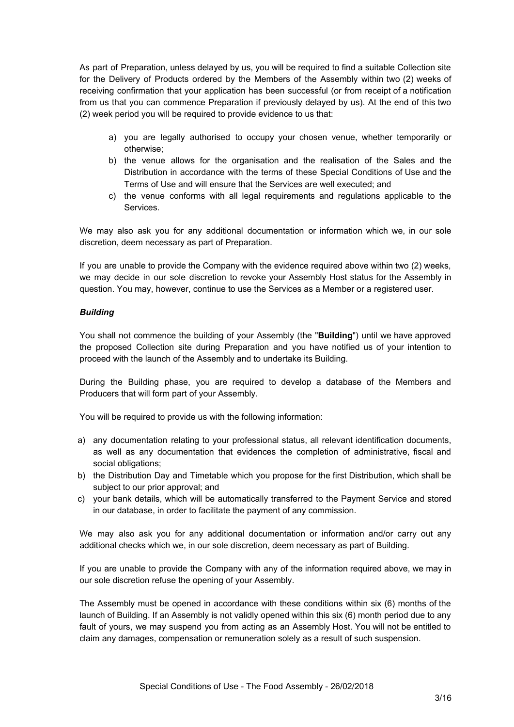As part of Preparation, unless delayed by us, you will be required to find a suitable Collection site for the Delivery of Products ordered by the Members of the Assembly within two (2) weeks of receiving confirmation that your application has been successful (or from receipt of a notification from us that you can commence Preparation if previously delayed by us). At the end of this two (2) week period you will be required to provide evidence to us that:

- a) you are legally authorised to occupy your chosen venue, whether temporarily or otherwise;
- b) the venue allows for the organisation and the realisation of the Sales and the Distribution in accordance with the terms of these Special Conditions of Use and the Terms of Use and will ensure that the Services are well executed; and
- c) the venue conforms with all legal requirements and regulations applicable to the Services.

We may also ask you for any additional documentation or information which we, in our sole discretion, deem necessary as part of Preparation.

If you are unable to provide the Company with the evidence required above within two (2) weeks, we may decide in our sole discretion to revoke your Assembly Host status for the Assembly in question. You may, however, continue to use the Services as a Member or a registered user.

# *Building*

You shall not commence the building of your Assembly (the "**Building**") until we have approved the proposed Collection site during Preparation and you have notified us of your intention to proceed with the launch of the Assembly and to undertake its Building.

During the Building phase, you are required to develop a database of the Members and Producers that will form part of your Assembly.

You will be required to provide us with the following information:

- a) any documentation relating to your professional status, all relevant identification documents, as well as any documentation that evidences the completion of administrative, fiscal and social obligations;
- b) the Distribution Day and Timetable which you propose for the first Distribution, which shall be subject to our prior approval; and
- c) your bank details, which will be automatically transferred to the Payment Service and stored in our database, in order to facilitate the payment of any commission.

We may also ask you for any additional documentation or information and/or carry out any additional checks which we, in our sole discretion, deem necessary as part of Building.

If you are unable to provide the Company with any of the information required above, we may in our sole discretion refuse the opening of your Assembly.

The Assembly must be opened in accordance with these conditions within six (6) months of the launch of Building. If an Assembly is not validly opened within this six (6) month period due to any fault of yours, we may suspend you from acting as an Assembly Host. You will not be entitled to claim any damages, compensation or remuneration solely as a result of such suspension.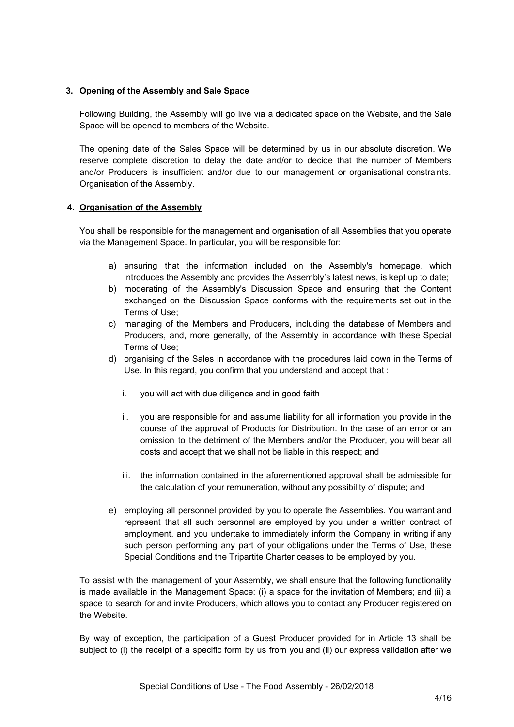# **3. Opening of the Assembly and Sale Space**

Following Building, the Assembly will go live via a dedicated space on the Website, and the Sale Space will be opened to members of the Website.

The opening date of the Sales Space will be determined by us in our absolute discretion. We reserve complete discretion to delay the date and/or to decide that the number of Members and/or Producers is insufficient and/or due to our management or organisational constraints. Organisation of the Assembly.

# **4. Organisation of the Assembly**

You shall be responsible for the management and organisation of all Assemblies that you operate via the Management Space. In particular, you will be responsible for:

- a) ensuring that the information included on the Assembly's homepage, which introduces the Assembly and provides the Assembly's latest news, is kept up to date;
- b) moderating of the Assembly's Discussion Space and ensuring that the Content exchanged on the Discussion Space conforms with the requirements set out in the Terms of Use;
- c) managing of the Members and Producers, including the database of Members and Producers, and, more generally, of the Assembly in accordance with these Special Terms of Use;
- d) organising of the Sales in accordance with the procedures laid down in the Terms of Use. In this regard, you confirm that you understand and accept that :
	- i. you will act with due diligence and in good faith
	- ii. you are responsible for and assume liability for all information you provide in the course of the approval of Products for Distribution. In the case of an error or an omission to the detriment of the Members and/or the Producer, you will bear all costs and accept that we shall not be liable in this respect; and
	- iii. the information contained in the aforementioned approval shall be admissible for the calculation of your remuneration, without any possibility of dispute; and
- e) employing all personnel provided by you to operate the Assemblies. You warrant and represent that all such personnel are employed by you under a written contract of employment, and you undertake to immediately inform the Company in writing if any such person performing any part of your obligations under the Terms of Use, these Special Conditions and the Tripartite Charter ceases to be employed by you.

To assist with the management of your Assembly, we shall ensure that the following functionality is made available in the Management Space: (i) a space for the invitation of Members; and (ii) a space to search for and invite Producers, which allows you to contact any Producer registered on the Website.

By way of exception, the participation of a Guest Producer provided for in Article 13 shall be subject to (i) the receipt of a specific form by us from you and (ii) our express validation after we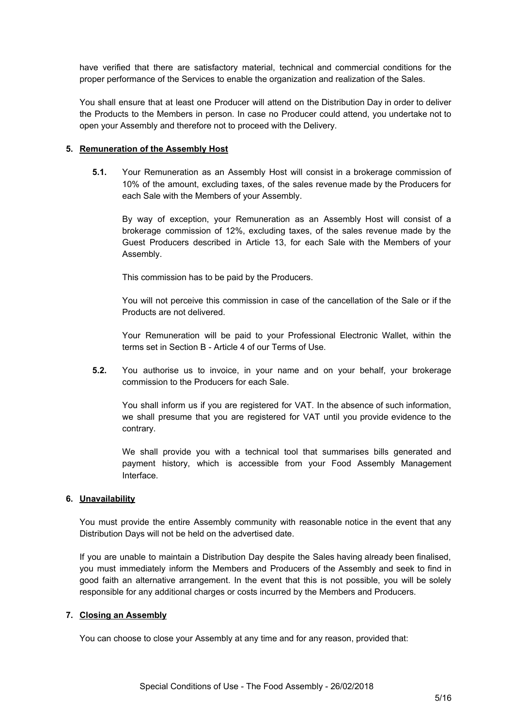have verified that there are satisfactory material, technical and commercial conditions for the proper performance of the Services to enable the organization and realization of the Sales.

You shall ensure that at least one Producer will attend on the Distribution Day in order to deliver the Products to the Members in person. In case no Producer could attend, you undertake not to open your Assembly and therefore not to proceed with the Delivery.

## **5. Remuneration of the Assembly Host**

**5.1.** Your Remuneration as an Assembly Host will consist in a brokerage commission of 10% of the amount, excluding taxes, of the sales revenue made by the Producers for each Sale with the Members of your Assembly.

By way of exception, your Remuneration as an Assembly Host will consist of a brokerage commission of 12%, excluding taxes, of the sales revenue made by the Guest Producers described in Article 13, for each Sale with the Members of your Assembly.

This commission has to be paid by the Producers.

You will not perceive this commission in case of the cancellation of the Sale or if the Products are not delivered.

Your Remuneration will be paid to your Professional Electronic Wallet, within the terms set in Section B - Article 4 of our Terms of Use.

**5.2.** You authorise us to invoice, in your name and on your behalf, your brokerage commission to the Producers for each Sale.

You shall inform us if you are registered for VAT. In the absence of such information, we shall presume that you are registered for VAT until you provide evidence to the contrary.

We shall provide you with a technical tool that summarises bills generated and payment history, which is accessible from your Food Assembly Management Interface.

## **6. Unavailability**

You must provide the entire Assembly community with reasonable notice in the event that any Distribution Days will not be held on the advertised date.

If you are unable to maintain a Distribution Day despite the Sales having already been finalised, you must immediately inform the Members and Producers of the Assembly and seek to find in good faith an alternative arrangement. In the event that this is not possible, you will be solely responsible for any additional charges or costs incurred by the Members and Producers.

## **7. Closing an Assembly**

You can choose to close your Assembly at any time and for any reason, provided that: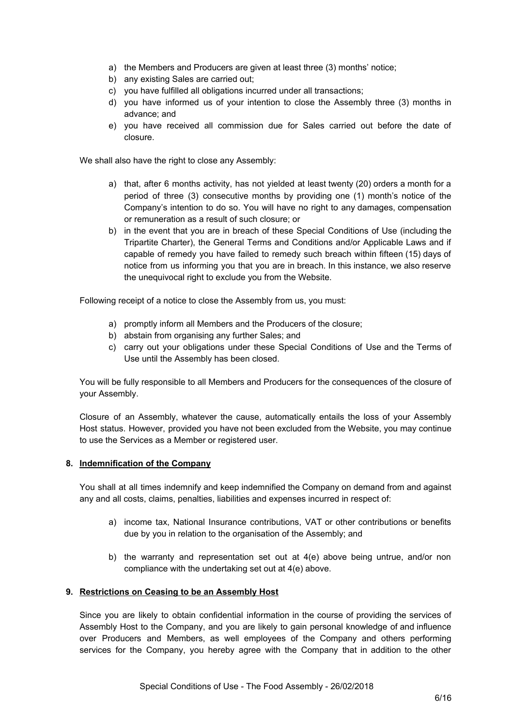- a) the Members and Producers are given at least three (3) months' notice;
- b) any existing Sales are carried out;
- c) you have fulfilled all obligations incurred under all transactions;
- d) you have informed us of your intention to close the Assembly three (3) months in advance; and
- e) you have received all commission due for Sales carried out before the date of closure.

We shall also have the right to close any Assembly:

- a) that, after 6 months activity, has not yielded at least twenty (20) orders a month for a period of three (3) consecutive months by providing one (1) month's notice of the Company's intention to do so. You will have no right to any damages, compensation or remuneration as a result of such closure; or
- b) in the event that you are in breach of these Special Conditions of Use (including the Tripartite Charter), the General Terms and Conditions and/or Applicable Laws and if capable of remedy you have failed to remedy such breach within fifteen (15) days of notice from us informing you that you are in breach. In this instance, we also reserve the unequivocal right to exclude you from the Website.

Following receipt of a notice to close the Assembly from us, you must:

- a) promptly inform all Members and the Producers of the closure;
- b) abstain from organising any further Sales; and
- c) carry out your obligations under these Special Conditions of Use and the Terms of Use until the Assembly has been closed.

You will be fully responsible to all Members and Producers for the consequences of the closure of your Assembly.

Closure of an Assembly, whatever the cause, automatically entails the loss of your Assembly Host status. However, provided you have not been excluded from the Website, you may continue to use the Services as a Member or registered user.

# **8. Indemnification of the Company**

You shall at all times indemnify and keep indemnified the Company on demand from and against any and all costs, claims, penalties, liabilities and expenses incurred in respect of:

- a) income tax, National Insurance contributions, VAT or other contributions or benefits due by you in relation to the organisation of the Assembly; and
- b) the warranty and representation set out at 4(e) above being untrue, and/or non compliance with the undertaking set out at 4(e) above.

## **9. Restrictions on Ceasing to be an Assembly Host**

Since you are likely to obtain confidential information in the course of providing the services of Assembly Host to the Company, and you are likely to gain personal knowledge of and influence over Producers and Members, as well employees of the Company and others performing services for the Company, you hereby agree with the Company that in addition to the other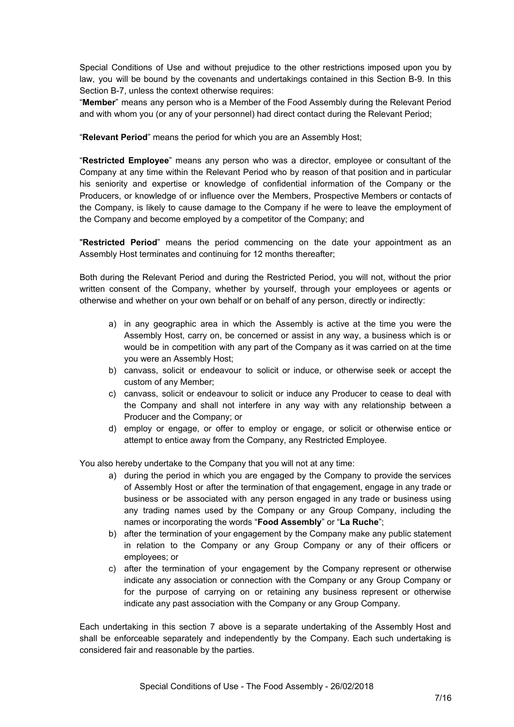Special Conditions of Use and without prejudice to the other restrictions imposed upon you by law, you will be bound by the covenants and undertakings contained in this Section B-9. In this Section B-7, unless the context otherwise requires:

"**Member**" means any person who is a Member of the Food Assembly during the Relevant Period and with whom you (or any of your personnel) had direct contact during the Relevant Period;

"**Relevant Period**" means the period for which you are an Assembly Host;

"**Restricted Employee**" means any person who was a director, employee or consultant of the Company at any time within the Relevant Period who by reason of that position and in particular his seniority and expertise or knowledge of confidential information of the Company or the Producers, or knowledge of or influence over the Members, Prospective Members or contacts of the Company, is likely to cause damage to the Company if he were to leave the employment of the Company and become employed by a competitor of the Company; and

"**Restricted Period**" means the period commencing on the date your appointment as an Assembly Host terminates and continuing for 12 months thereafter;

Both during the Relevant Period and during the Restricted Period, you will not, without the prior written consent of the Company, whether by yourself, through your employees or agents or otherwise and whether on your own behalf or on behalf of any person, directly or indirectly:

- a) in any geographic area in which the Assembly is active at the time you were the Assembly Host, carry on, be concerned or assist in any way, a business which is or would be in competition with any part of the Company as it was carried on at the time you were an Assembly Host;
- b) canvass, solicit or endeavour to solicit or induce, or otherwise seek or accept the custom of any Member;
- c) canvass, solicit or endeavour to solicit or induce any Producer to cease to deal with the Company and shall not interfere in any way with any relationship between a Producer and the Company; or
- d) employ or engage, or offer to employ or engage, or solicit or otherwise entice or attempt to entice away from the Company, any Restricted Employee.

You also hereby undertake to the Company that you will not at any time:

- a) during the period in which you are engaged by the Company to provide the services of Assembly Host or after the termination of that engagement, engage in any trade or business or be associated with any person engaged in any trade or business using any trading names used by the Company or any Group Company, including the names or incorporating the words "**Food Assembly**" or "**La Ruche**";
- b) after the termination of your engagement by the Company make any public statement in relation to the Company or any Group Company or any of their officers or employees; or
- c) after the termination of your engagement by the Company represent or otherwise indicate any association or connection with the Company or any Group Company or for the purpose of carrying on or retaining any business represent or otherwise indicate any past association with the Company or any Group Company.

Each undertaking in this section 7 above is a separate undertaking of the Assembly Host and shall be enforceable separately and independently by the Company. Each such undertaking is considered fair and reasonable by the parties.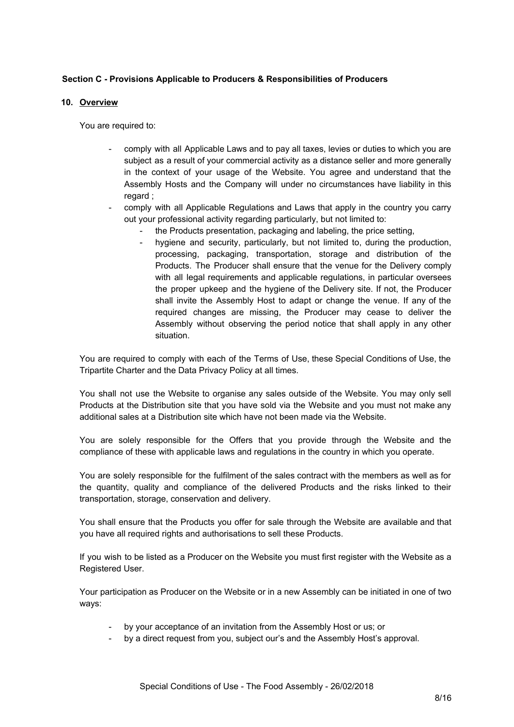# **Section C - Provisions Applicable to Producers & Responsibilities of Producers**

### **10. Overview**

You are required to:

- comply with all Applicable Laws and to pay all taxes, levies or duties to which you are subject as a result of your commercial activity as a distance seller and more generally in the context of your usage of the Website. You agree and understand that the Assembly Hosts and the Company will under no circumstances have liability in this regard ;
- comply with all Applicable Regulations and Laws that apply in the country you carry out your professional activity regarding particularly, but not limited to:
	- the Products presentation, packaging and labeling, the price setting,
	- hygiene and security, particularly, but not limited to, during the production, processing, packaging, transportation, storage and distribution of the Products. The Producer shall ensure that the venue for the Delivery comply with all legal requirements and applicable requlations, in particular oversees the proper upkeep and the hygiene of the Delivery site. If not, the Producer shall invite the Assembly Host to adapt or change the venue. If any of the required changes are missing, the Producer may cease to deliver the Assembly without observing the period notice that shall apply in any other situation.

You are required to comply with each of the Terms of Use, these Special Conditions of Use, the Tripartite Charter and the Data Privacy Policy at all times.

You shall not use the Website to organise any sales outside of the Website. You may only sell Products at the Distribution site that you have sold via the Website and you must not make any additional sales at a Distribution site which have not been made via the Website.

You are solely responsible for the Offers that you provide through the Website and the compliance of these with applicable laws and regulations in the country in which you operate.

You are solely responsible for the fulfilment of the sales contract with the members as well as for the quantity, quality and compliance of the delivered Products and the risks linked to their transportation, storage, conservation and delivery.

You shall ensure that the Products you offer for sale through the Website are available and that you have all required rights and authorisations to sell these Products.

If you wish to be listed as a Producer on the Website you must first register with the Website as a Registered User.

Your participation as Producer on the Website or in a new Assembly can be initiated in one of two ways:

- by your acceptance of an invitation from the Assembly Host or us; or
- by a direct request from you, subject our's and the Assembly Host's approval.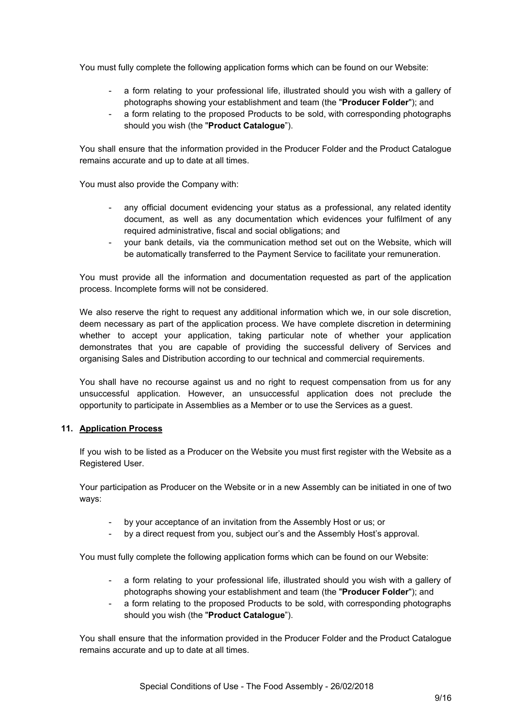You must fully complete the following application forms which can be found on our Website:

- a form relating to your professional life, illustrated should you wish with a gallery of photographs showing your establishment and team (the "**Producer Folder**"); and
- a form relating to the proposed Products to be sold, with corresponding photographs should you wish (the "**Product Catalogue**").

You shall ensure that the information provided in the Producer Folder and the Product Catalogue remains accurate and up to date at all times.

You must also provide the Company with:

- any official document evidencing your status as a professional, any related identity document, as well as any documentation which evidences your fulfilment of any required administrative, fiscal and social obligations; and
- your bank details, via the communication method set out on the Website, which will be automatically transferred to the Payment Service to facilitate your remuneration.

You must provide all the information and documentation requested as part of the application process. Incomplete forms will not be considered.

We also reserve the right to request any additional information which we, in our sole discretion, deem necessary as part of the application process. We have complete discretion in determining whether to accept your application, taking particular note of whether your application demonstrates that you are capable of providing the successful delivery of Services and organising Sales and Distribution according to our technical and commercial requirements.

You shall have no recourse against us and no right to request compensation from us for any unsuccessful application. However, an unsuccessful application does not preclude the opportunity to participate in Assemblies as a Member or to use the Services as a guest.

## **11. Application Process**

If you wish to be listed as a Producer on the Website you must first register with the Website as a Registered User.

Your participation as Producer on the Website or in a new Assembly can be initiated in one of two ways:

- by your acceptance of an invitation from the Assembly Host or us; or
- by a direct request from you, subject our's and the Assembly Host's approval.

You must fully complete the following application forms which can be found on our Website:

- a form relating to your professional life, illustrated should you wish with a gallery of photographs showing your establishment and team (the "**Producer Folder**"); and
- a form relating to the proposed Products to be sold, with corresponding photographs should you wish (the "**Product Catalogue**").

You shall ensure that the information provided in the Producer Folder and the Product Catalogue remains accurate and up to date at all times.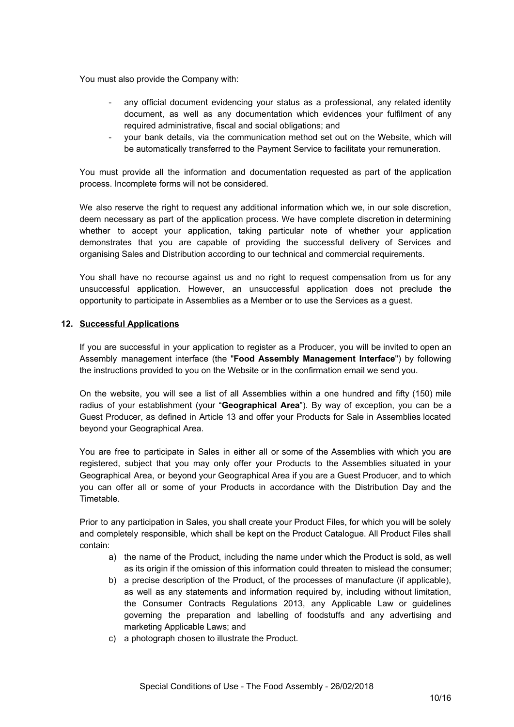You must also provide the Company with:

- any official document evidencing your status as a professional, any related identity document, as well as any documentation which evidences your fulfilment of any required administrative, fiscal and social obligations; and
- your bank details, via the communication method set out on the Website, which will be automatically transferred to the Payment Service to facilitate your remuneration.

You must provide all the information and documentation requested as part of the application process. Incomplete forms will not be considered.

We also reserve the right to request any additional information which we, in our sole discretion, deem necessary as part of the application process. We have complete discretion in determining whether to accept your application, taking particular note of whether your application demonstrates that you are capable of providing the successful delivery of Services and organising Sales and Distribution according to our technical and commercial requirements.

You shall have no recourse against us and no right to request compensation from us for any unsuccessful application. However, an unsuccessful application does not preclude the opportunity to participate in Assemblies as a Member or to use the Services as a guest.

## **12. Successful Applications**

If you are successful in your application to register as a Producer, you will be invited to open an Assembly management interface (the "**Food Assembly Management Interface**") by following the instructions provided to you on the Website or in the confirmation email we send you.

On the website, you will see a list of all Assemblies within a one hundred and fifty (150) mile radius of your establishment (your "**Geographical Area**"). By way of exception, you can be a Guest Producer, as defined in Article 13 and offer your Products for Sale in Assemblies located beyond your Geographical Area.

You are free to participate in Sales in either all or some of the Assemblies with which you are registered, subject that you may only offer your Products to the Assemblies situated in your Geographical Area, or beyond your Geographical Area if you are a Guest Producer, and to which you can offer all or some of your Products in accordance with the Distribution Day and the Timetable.

Prior to any participation in Sales, you shall create your Product Files, for which you will be solely and completely responsible, which shall be kept on the Product Catalogue. All Product Files shall contain:

- a) the name of the Product, including the name under which the Product is sold, as well as its origin if the omission of this information could threaten to mislead the consumer;
- b) a precise description of the Product, of the processes of manufacture (if applicable), as well as any statements and information required by, including without limitation, the Consumer Contracts Regulations 2013, any Applicable Law or guidelines governing the preparation and labelling of foodstuffs and any advertising and marketing Applicable Laws; and
- c) a photograph chosen to illustrate the Product.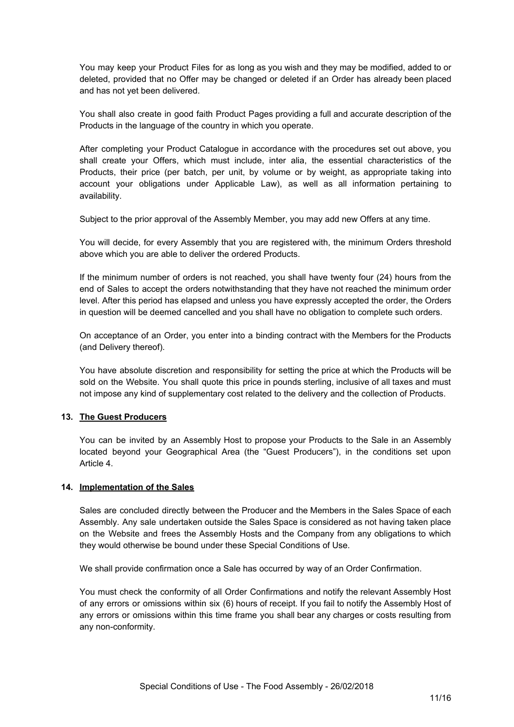You may keep your Product Files for as long as you wish and they may be modified, added to or deleted, provided that no Offer may be changed or deleted if an Order has already been placed and has not yet been delivered.

You shall also create in good faith Product Pages providing a full and accurate description of the Products in the language of the country in which you operate.

After completing your Product Catalogue in accordance with the procedures set out above, you shall create your Offers, which must include, inter alia, the essential characteristics of the Products, their price (per batch, per unit, by volume or by weight, as appropriate taking into account your obligations under Applicable Law), as well as all information pertaining to availability.

Subject to the prior approval of the Assembly Member, you may add new Offers at any time.

You will decide, for every Assembly that you are registered with, the minimum Orders threshold above which you are able to deliver the ordered Products.

If the minimum number of orders is not reached, you shall have twenty four (24) hours from the end of Sales to accept the orders notwithstanding that they have not reached the minimum order level. After this period has elapsed and unless you have expressly accepted the order, the Orders in question will be deemed cancelled and you shall have no obligation to complete such orders.

On acceptance of an Order, you enter into a binding contract with the Members for the Products (and Delivery thereof).

You have absolute discretion and responsibility for setting the price at which the Products will be sold on the Website. You shall quote this price in pounds sterling, inclusive of all taxes and must not impose any kind of supplementary cost related to the delivery and the collection of Products.

## **13. The Guest Producers**

You can be invited by an Assembly Host to propose your Products to the Sale in an Assembly located beyond your Geographical Area (the "Guest Producers"), in the conditions set upon Article 4.

#### **14. Implementation of the Sales**

Sales are concluded directly between the Producer and the Members in the Sales Space of each Assembly. Any sale undertaken outside the Sales Space is considered as not having taken place on the Website and frees the Assembly Hosts and the Company from any obligations to which they would otherwise be bound under these Special Conditions of Use.

We shall provide confirmation once a Sale has occurred by way of an Order Confirmation.

You must check the conformity of all Order Confirmations and notify the relevant Assembly Host of any errors or omissions within six (6) hours of receipt. If you fail to notify the Assembly Host of any errors or omissions within this time frame you shall bear any charges or costs resulting from any non-conformity.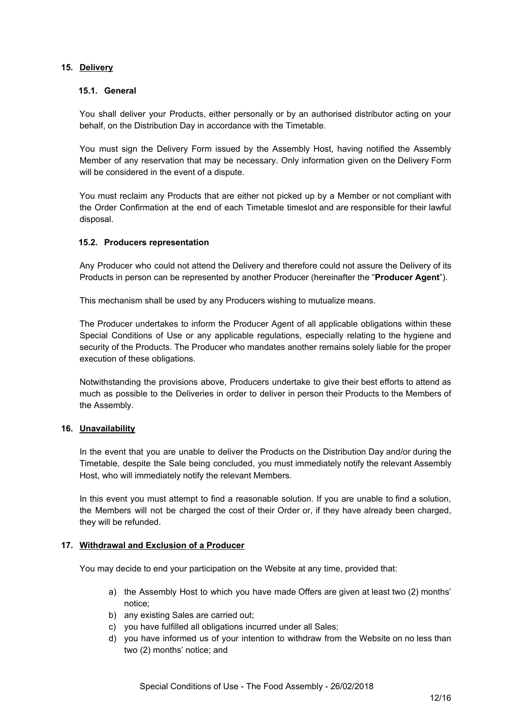# **15. Delivery**

# **15.1. General**

You shall deliver your Products, either personally or by an authorised distributor acting on your behalf, on the Distribution Day in accordance with the Timetable.

You must sign the Delivery Form issued by the Assembly Host, having notified the Assembly Member of any reservation that may be necessary. Only information given on the Delivery Form will be considered in the event of a dispute.

You must reclaim any Products that are either not picked up by a Member or not compliant with the Order Confirmation at the end of each Timetable timeslot and are responsible for their lawful disposal.

# **15.2. Producers representation**

Any Producer who could not attend the Delivery and therefore could not assure the Delivery of its Products in person can be represented by another Producer (hereinafter the "**Producer Agent**").

This mechanism shall be used by any Producers wishing to mutualize means.

The Producer undertakes to inform the Producer Agent of all applicable obligations within these Special Conditions of Use or any applicable regulations, especially relating to the hygiene and security of the Products. The Producer who mandates another remains solely liable for the proper execution of these obligations.

Notwithstanding the provisions above, Producers undertake to give their best efforts to attend as much as possible to the Deliveries in order to deliver in person their Products to the Members of the Assembly.

## **16. Unavailability**

In the event that you are unable to deliver the Products on the Distribution Day and/or during the Timetable, despite the Sale being concluded, you must immediately notify the relevant Assembly Host, who will immediately notify the relevant Members.

In this event you must attempt to find a reasonable solution. If you are unable to find a solution, the Members will not be charged the cost of their Order or, if they have already been charged, they will be refunded.

## **17. Withdrawal and Exclusion of a Producer**

You may decide to end your participation on the Website at any time, provided that:

- a) the Assembly Host to which you have made Offers are given at least two (2) months' notice;
- b) any existing Sales are carried out;
- c) you have fulfilled all obligations incurred under all Sales;
- d) you have informed us of your intention to withdraw from the Website on no less than two (2) months' notice; and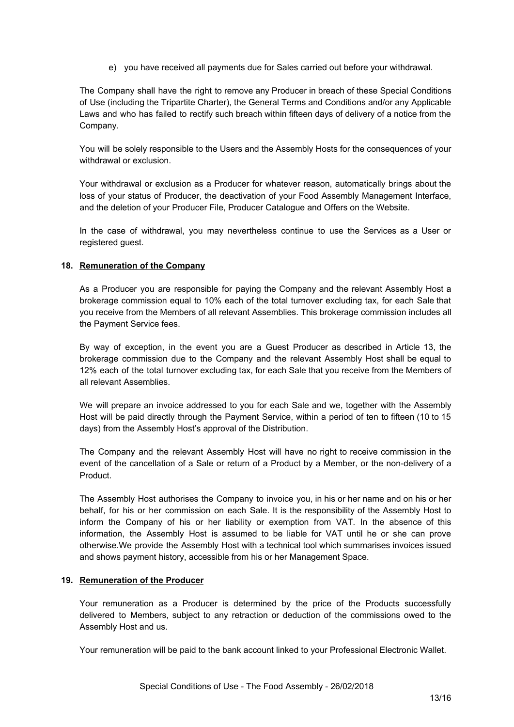e) you have received all payments due for Sales carried out before your withdrawal.

The Company shall have the right to remove any Producer in breach of these Special Conditions of Use (including the Tripartite Charter), the General Terms and Conditions and/or any Applicable Laws and who has failed to rectify such breach within fifteen days of delivery of a notice from the Company.

You will be solely responsible to the Users and the Assembly Hosts for the consequences of your withdrawal or exclusion.

Your withdrawal or exclusion as a Producer for whatever reason, automatically brings about the loss of your status of Producer, the deactivation of your Food Assembly Management Interface, and the deletion of your Producer File, Producer Catalogue and Offers on the Website.

In the case of withdrawal, you may nevertheless continue to use the Services as a User or registered guest.

## **18. Remuneration of the Company**

As a Producer you are responsible for paying the Company and the relevant Assembly Host a brokerage commission equal to 10% each of the total turnover excluding tax, for each Sale that you receive from the Members of all relevant Assemblies. This brokerage commission includes all the Payment Service fees.

By way of exception, in the event you are a Guest Producer as described in Article 13, the brokerage commission due to the Company and the relevant Assembly Host shall be equal to 12% each of the total turnover excluding tax, for each Sale that you receive from the Members of all relevant Assemblies.

We will prepare an invoice addressed to you for each Sale and we, together with the Assembly Host will be paid directly through the Payment Service, within a period of ten to fifteen (10 to 15 days) from the Assembly Host's approval of the Distribution.

The Company and the relevant Assembly Host will have no right to receive commission in the event of the cancellation of a Sale or return of a Product by a Member, or the non-delivery of a Product.

The Assembly Host authorises the Company to invoice you, in his or her name and on his or her behalf, for his or her commission on each Sale. It is the responsibility of the Assembly Host to inform the Company of his or her liability or exemption from VAT. In the absence of this information, the Assembly Host is assumed to be liable for VAT until he or she can prove otherwise.We provide the Assembly Host with a technical tool which summarises invoices issued and shows payment history, accessible from his or her Management Space.

#### **19. Remuneration of the Producer**

Your remuneration as a Producer is determined by the price of the Products successfully delivered to Members, subject to any retraction or deduction of the commissions owed to the Assembly Host and us.

Your remuneration will be paid to the bank account linked to your Professional Electronic Wallet.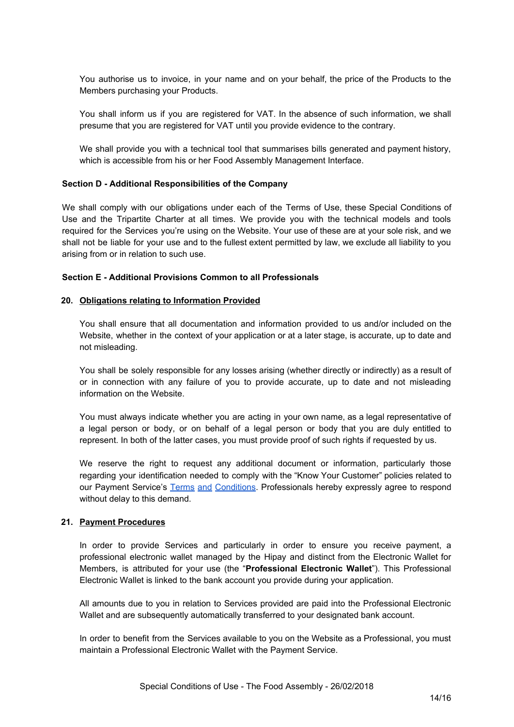You authorise us to invoice, in your name and on your behalf, the price of the Products to the Members purchasing your Products.

You shall inform us if you are registered for VAT. In the absence of such information, we shall presume that you are registered for VAT until you provide evidence to the contrary.

We shall provide you with a technical tool that summarises bills generated and payment history, which is accessible from his or her Food Assembly Management Interface.

### **Section D - Additional Responsibilities of the Company**

We shall comply with our obligations under each of the Terms of Use, these Special Conditions of Use and the Tripartite Charter at all times. We provide you with the technical models and tools required for the Services you're using on the Website. Your use of these are at your sole risk, and we shall not be liable for your use and to the fullest extent permitted by law, we exclude all liability to you arising from or in relation to such use.

### **Section E - Additional Provisions Common to all Professionals**

### **20. Obligations relating to Information Provided**

You shall ensure that all documentation and information provided to us and/or included on the Website, whether in the context of your application or at a later stage, is accurate, up to date and not misleading.

You shall be solely responsible for any losses arising (whether directly or indirectly) as a result of or in connection with any failure of you to provide accurate, up to date and not misleading information on the Website.

You must always indicate whether you are acting in your own name, as a legal representative of a legal person or body, or on behalf of a legal person or body that you are duly entitled to represent. In both of the latter cases, you must provide proof of such rights if requested by us.

We reserve the right to request any additional document or information, particularly those regarding your identification needed to comply with the "Know Your Customer" policies related to our Payment Service's Terms and [Conditions](https://d27ue5shkjha1u.cloudfront.net/en/p/assets/documents/en-GB/terms/mangopay.pdf). Professionals hereby expressly agree to respond without delay to this demand.

### **21. Payment Procedures**

In order to provide Services and particularly in order to ensure you receive payment, a professional electronic wallet managed by the Hipay and distinct from the Electronic Wallet for Members, is attributed for your use (the "**Professional Electronic Wallet**"). This Professional Electronic Wallet is linked to the bank account you provide during your application.

All amounts due to you in relation to Services provided are paid into the Professional Electronic Wallet and are subsequently automatically transferred to your designated bank account.

In order to benefit from the Services available to you on the Website as a Professional, you must maintain a Professional Electronic Wallet with the Payment Service.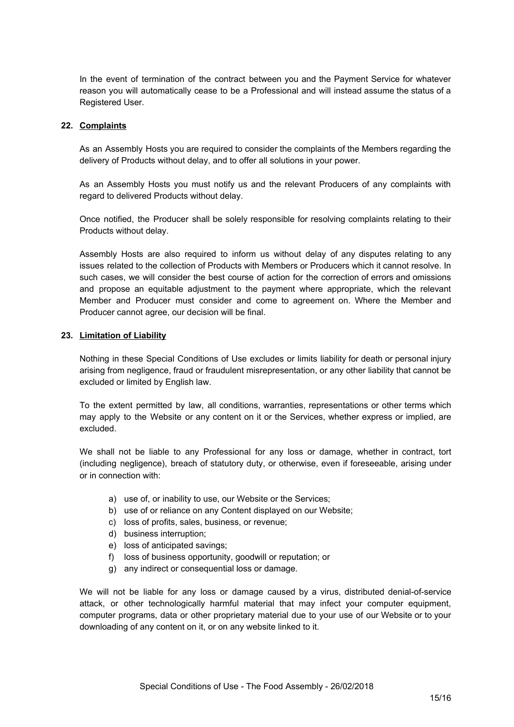In the event of termination of the contract between you and the Payment Service for whatever reason you will automatically cease to be a Professional and will instead assume the status of a Registered User.

### **22. Complaints**

As an Assembly Hosts you are required to consider the complaints of the Members regarding the delivery of Products without delay, and to offer all solutions in your power.

As an Assembly Hosts you must notify us and the relevant Producers of any complaints with regard to delivered Products without delay.

Once notified, the Producer shall be solely responsible for resolving complaints relating to their Products without delay.

Assembly Hosts are also required to inform us without delay of any disputes relating to any issues related to the collection of Products with Members or Producers which it cannot resolve. In such cases, we will consider the best course of action for the correction of errors and omissions and propose an equitable adjustment to the payment where appropriate, which the relevant Member and Producer must consider and come to agreement on. Where the Member and Producer cannot agree, our decision will be final.

### **23. Limitation of Liability**

Nothing in these Special Conditions of Use excludes or limits liability for death or personal injury arising from negligence, fraud or fraudulent misrepresentation, or any other liability that cannot be excluded or limited by English law.

To the extent permitted by law, all conditions, warranties, representations or other terms which may apply to the Website or any content on it or the Services, whether express or implied, are excluded.

We shall not be liable to any Professional for any loss or damage, whether in contract, tort (including negligence), breach of statutory duty, or otherwise, even if foreseeable, arising under or in connection with:

- a) use of, or inability to use, our Website or the Services;
- b) use of or reliance on any Content displayed on our Website;
- c) loss of profits, sales, business, or revenue;
- d) business interruption;
- e) loss of anticipated savings;
- f) loss of business opportunity, goodwill or reputation; or
- g) any indirect or consequential loss or damage.

We will not be liable for any loss or damage caused by a virus, distributed denial-of-service attack, or other technologically harmful material that may infect your computer equipment, computer programs, data or other proprietary material due to your use of our Website or to your downloading of any content on it, or on any website linked to it.